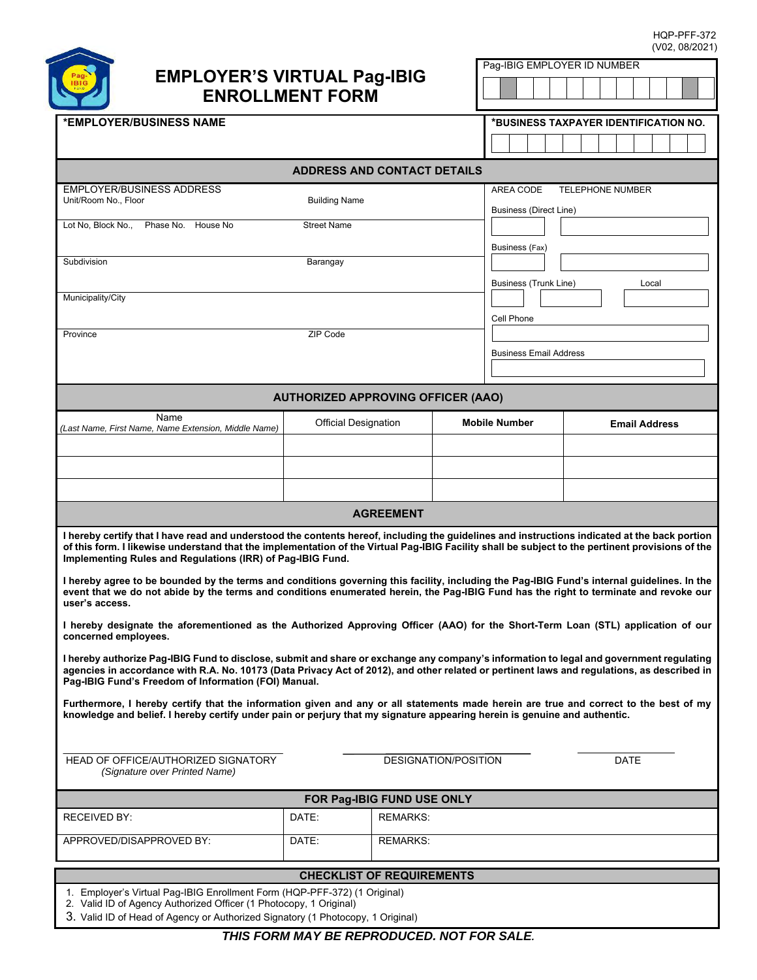HQP-PFF-372 (V02, 08/2021)

Pag-IBIG EMPLOYER ID NUMBER



# **EMPLOYER'S VIRTUAL Pag-IBIG ENROLLMENT FORM**

| <b>ENROLLMENT FORM</b>                                                                                                                                                                                                                                                                                                                                                                                                                                                                                         |                      |                             |  |                                                                       |                      |      |  |
|----------------------------------------------------------------------------------------------------------------------------------------------------------------------------------------------------------------------------------------------------------------------------------------------------------------------------------------------------------------------------------------------------------------------------------------------------------------------------------------------------------------|----------------------|-----------------------------|--|-----------------------------------------------------------------------|----------------------|------|--|
| *EMPLOYER/BUSINESS NAME                                                                                                                                                                                                                                                                                                                                                                                                                                                                                        |                      |                             |  | *BUSINESS TAXPAYER IDENTIFICATION NO.                                 |                      |      |  |
|                                                                                                                                                                                                                                                                                                                                                                                                                                                                                                                |                      |                             |  |                                                                       |                      |      |  |
| <b>ADDRESS AND CONTACT DETAILS</b>                                                                                                                                                                                                                                                                                                                                                                                                                                                                             |                      |                             |  |                                                                       |                      |      |  |
| <b>EMPLOYER/BUSINESS ADDRESS</b><br>Unit/Room No., Floor                                                                                                                                                                                                                                                                                                                                                                                                                                                       | <b>Building Name</b> |                             |  | AREA CODE<br><b>TELEPHONE NUMBER</b><br><b>Business (Direct Line)</b> |                      |      |  |
| Lot No, Block No.,<br>Phase No. House No                                                                                                                                                                                                                                                                                                                                                                                                                                                                       | <b>Street Name</b>   |                             |  |                                                                       |                      |      |  |
| Subdivision                                                                                                                                                                                                                                                                                                                                                                                                                                                                                                    | Barangay             |                             |  | Business (Fax)<br><b>Business (Trunk Line)</b><br>Local               |                      |      |  |
| Municipality/City                                                                                                                                                                                                                                                                                                                                                                                                                                                                                              | ZIP Code             |                             |  | Cell Phone                                                            |                      |      |  |
| Province                                                                                                                                                                                                                                                                                                                                                                                                                                                                                                       |                      |                             |  | <b>Business Email Address</b>                                         |                      |      |  |
| <b>AUTHORIZED APPROVING OFFICER (AAO)</b>                                                                                                                                                                                                                                                                                                                                                                                                                                                                      |                      |                             |  |                                                                       |                      |      |  |
| Name<br>(Last Name, First Name, Name Extension, Middle Name)                                                                                                                                                                                                                                                                                                                                                                                                                                                   |                      | <b>Official Designation</b> |  | <b>Mobile Number</b>                                                  | <b>Email Address</b> |      |  |
|                                                                                                                                                                                                                                                                                                                                                                                                                                                                                                                |                      |                             |  |                                                                       |                      |      |  |
|                                                                                                                                                                                                                                                                                                                                                                                                                                                                                                                |                      |                             |  |                                                                       |                      |      |  |
|                                                                                                                                                                                                                                                                                                                                                                                                                                                                                                                |                      |                             |  |                                                                       |                      |      |  |
| <b>AGREEMENT</b>                                                                                                                                                                                                                                                                                                                                                                                                                                                                                               |                      |                             |  |                                                                       |                      |      |  |
| I hereby certify that I have read and understood the contents hereof, including the guidelines and instructions indicated at the back portion<br>of this form. I likewise understand that the implementation of the Virtual Pag-IBIG Facility shall be subject to the pertinent provisions of the<br>Implementing Rules and Regulations (IRR) of Pag-IBIG Fund.<br>I hereby agree to be bounded by the terms and conditions governing this facility, including the Pag-IBIG Fund's internal guidelines. In the |                      |                             |  |                                                                       |                      |      |  |
| event that we do not abide by the terms and conditions enumerated herein, the Pag-IBIG Fund has the right to terminate and revoke our<br>user's access.                                                                                                                                                                                                                                                                                                                                                        |                      |                             |  |                                                                       |                      |      |  |
| I hereby designate the aforementioned as the Authorized Approving Officer (AAO) for the Short-Term Loan (STL) application of our<br>concerned employees.                                                                                                                                                                                                                                                                                                                                                       |                      |                             |  |                                                                       |                      |      |  |
| I hereby authorize Pag-IBIG Fund to disclose, submit and share or exchange any company's information to legal and government regulating<br>agencies in accordance with R.A. No. 10173 (Data Privacy Act of 2012), and other related or pertinent laws and regulations, as described in<br>Pag-IBIG Fund's Freedom of Information (FOI) Manual.                                                                                                                                                                 |                      |                             |  |                                                                       |                      |      |  |
| Furthermore, I hereby certify that the information given and any or all statements made herein are true and correct to the best of my<br>knowledge and belief. I hereby certify under pain or perjury that my signature appearing herein is genuine and authentic.                                                                                                                                                                                                                                             |                      |                             |  |                                                                       |                      |      |  |
| HEAD OF OFFICE/AUTHORIZED SIGNATORY<br><b>DESIGNATION/POSITION</b><br>(Signature over Printed Name)                                                                                                                                                                                                                                                                                                                                                                                                            |                      |                             |  |                                                                       |                      | DATE |  |
| FOR Pag-IBIG FUND USE ONLY                                                                                                                                                                                                                                                                                                                                                                                                                                                                                     |                      |                             |  |                                                                       |                      |      |  |
| <b>RECEIVED BY:</b>                                                                                                                                                                                                                                                                                                                                                                                                                                                                                            | DATE:                | <b>REMARKS:</b>             |  |                                                                       |                      |      |  |
| APPROVED/DISAPPROVED BY:                                                                                                                                                                                                                                                                                                                                                                                                                                                                                       | DATE:                | <b>REMARKS:</b>             |  |                                                                       |                      |      |  |
| <b>CHECKLIST OF REQUIREMENTS</b>                                                                                                                                                                                                                                                                                                                                                                                                                                                                               |                      |                             |  |                                                                       |                      |      |  |
| 1. Employer's Virtual Pag-IBIG Enrollment Form (HQP-PFF-372) (1 Original)<br>2. Valid ID of Agency Authorized Officer (1 Photocopy, 1 Original)<br>3. Valid ID of Head of Agency or Authorized Signatory (1 Photocopy, 1 Original)                                                                                                                                                                                                                                                                             |                      |                             |  |                                                                       |                      |      |  |

*THIS FORM MAY BE REPRODUCED. NOT FOR SALE.*